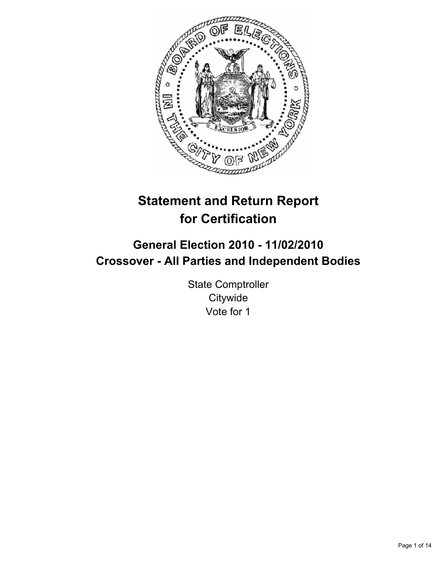

# **Statement and Return Report for Certification**

## **General Election 2010 - 11/02/2010 Crossover - All Parties and Independent Bodies**

State Comptroller **Citywide** Vote for 1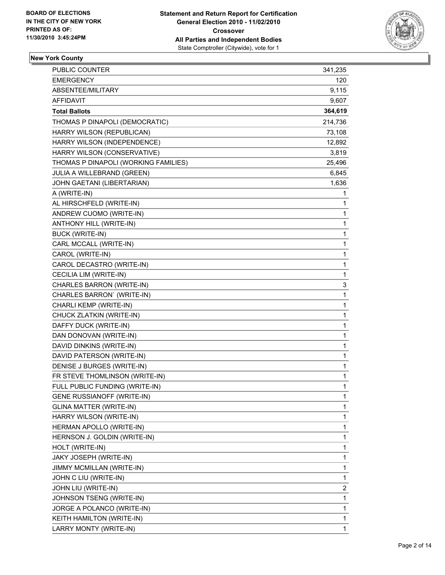

## **New York County**

| <b>PUBLIC COUNTER</b>                | 341,235     |
|--------------------------------------|-------------|
| <b>EMERGENCY</b>                     | 120         |
| ABSENTEE/MILITARY                    | 9,115       |
| AFFIDAVIT                            | 9,607       |
| <b>Total Ballots</b>                 | 364,619     |
| THOMAS P DINAPOLI (DEMOCRATIC)       | 214,736     |
| HARRY WILSON (REPUBLICAN)            | 73,108      |
| HARRY WILSON (INDEPENDENCE)          | 12,892      |
| HARRY WILSON (CONSERVATIVE)          | 3,819       |
| THOMAS P DINAPOLI (WORKING FAMILIES) | 25,496      |
| JULIA A WILLEBRAND (GREEN)           | 6,845       |
| JOHN GAETANI (LIBERTARIAN)           | 1,636       |
| A (WRITE-IN)                         | 1           |
| AL HIRSCHFELD (WRITE-IN)             | 1           |
| ANDREW CUOMO (WRITE-IN)              | 1           |
| ANTHONY HILL (WRITE-IN)              | 1           |
| <b>BUCK (WRITE-IN)</b>               | 1           |
| CARL MCCALL (WRITE-IN)               | 1           |
| CAROL (WRITE-IN)                     | 1           |
| CAROL DECASTRO (WRITE-IN)            | 1           |
| CECILIA LIM (WRITE-IN)               | 1           |
| CHARLES BARRON (WRITE-IN)            | 3           |
| CHARLES BARRON' (WRITE-IN)           | 1           |
| CHARLI KEMP (WRITE-IN)               | 1           |
| CHUCK ZLATKIN (WRITE-IN)             | 1           |
| DAFFY DUCK (WRITE-IN)                | 1           |
| DAN DONOVAN (WRITE-IN)               | 1           |
| DAVID DINKINS (WRITE-IN)             | 1           |
| DAVID PATERSON (WRITE-IN)            | 1           |
| DENISE J BURGES (WRITE-IN)           | $\mathbf 1$ |
| FR STEVE THOMLINSON (WRITE-IN)       | 1           |
| FULL PUBLIC FUNDING (WRITE-IN)       | 1           |
| <b>GENE RUSSIANOFF (WRITE-IN)</b>    | 1           |
| <b>GLINA MATTER (WRITE-IN)</b>       | 1           |
| HARRY WILSON (WRITE-IN)              | 1           |
| HERMAN APOLLO (WRITE-IN)             | 1           |
| HERNSON J. GOLDIN (WRITE-IN)         | 1           |
| HOLT (WRITE-IN)                      | 1           |
| JAKY JOSEPH (WRITE-IN)               | 1           |
| JIMMY MCMILLAN (WRITE-IN)            | 1           |
| JOHN C LIU (WRITE-IN)                | 1           |
| JOHN LIU (WRITE-IN)                  | 2           |
| JOHNSON TSENG (WRITE-IN)             | 1           |
| JORGE A POLANCO (WRITE-IN)           | 1           |
| KEITH HAMILTON (WRITE-IN)            | 1           |
| LARRY MONTY (WRITE-IN)               | 1           |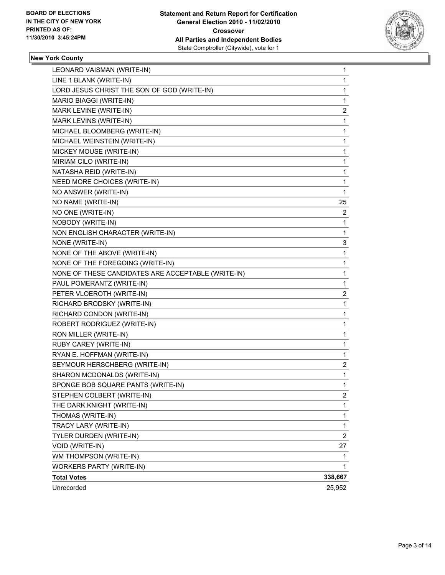

## **New York County**

| LEONARD VAISMAN (WRITE-IN)                         | 1              |
|----------------------------------------------------|----------------|
| LINE 1 BLANK (WRITE-IN)                            | 1              |
| LORD JESUS CHRIST THE SON OF GOD (WRITE-IN)        | 1              |
| MARIO BIAGGI (WRITE-IN)                            | 1              |
| MARK LEVINE (WRITE-IN)                             | 2              |
| MARK LEVINS (WRITE-IN)                             | 1              |
| MICHAEL BLOOMBERG (WRITE-IN)                       | 1              |
| MICHAEL WEINSTEIN (WRITE-IN)                       | 1              |
| MICKEY MOUSE (WRITE-IN)                            | 1              |
| MIRIAM CILO (WRITE-IN)                             | 1              |
| NATASHA REID (WRITE-IN)                            | 1              |
| NEED MORE CHOICES (WRITE-IN)                       | 1              |
| NO ANSWER (WRITE-IN)                               | 1              |
| NO NAME (WRITE-IN)                                 | 25             |
| NO ONE (WRITE-IN)                                  | 2              |
| NOBODY (WRITE-IN)                                  | 1              |
| NON ENGLISH CHARACTER (WRITE-IN)                   | 1              |
| NONE (WRITE-IN)                                    | 3              |
| NONE OF THE ABOVE (WRITE-IN)                       | 1              |
| NONE OF THE FOREGOING (WRITE-IN)                   | 1              |
| NONE OF THESE CANDIDATES ARE ACCEPTABLE (WRITE-IN) | 1              |
| PAUL POMERANTZ (WRITE-IN)                          | 1              |
| PETER VLOEROTH (WRITE-IN)                          | 2              |
| RICHARD BRODSKY (WRITE-IN)                         | 1              |
| RICHARD CONDON (WRITE-IN)                          | 1              |
| ROBERT RODRIGUEZ (WRITE-IN)                        | 1              |
| RON MILLER (WRITE-IN)                              | 1              |
| RUBY CAREY (WRITE-IN)                              | 1              |
| RYAN E. HOFFMAN (WRITE-IN)                         | 1              |
| SEYMOUR HERSCHBERG (WRITE-IN)                      | 2              |
| SHARON MCDONALDS (WRITE-IN)                        | 1              |
| SPONGE BOB SQUARE PANTS (WRITE-IN)                 | 1              |
| STEPHEN COLBERT (WRITE-IN)                         | 2              |
| THE DARK KNIGHT (WRITE-IN)                         | 1              |
| THOMAS (WRITE-IN)                                  | 1              |
| TRACY LARY (WRITE-IN)                              | 1              |
| TYLER DURDEN (WRITE-IN)                            | $\overline{2}$ |
| VOID (WRITE-IN)                                    | 27             |
| WM THOMPSON (WRITE-IN)                             | 1              |
| <b>WORKERS PARTY (WRITE-IN)</b>                    | 1              |
| <b>Total Votes</b>                                 | 338,667        |
| Unrecorded                                         | 25,952         |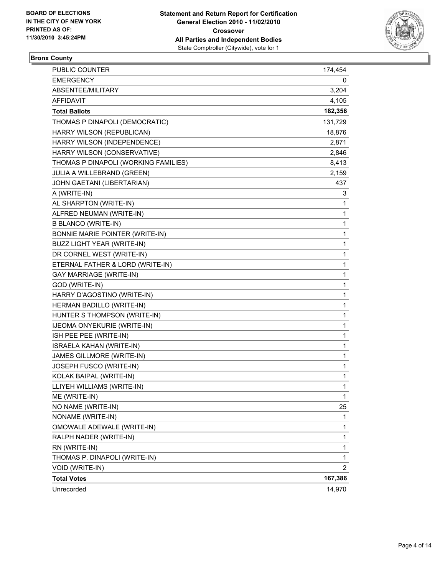

## **Bronx County**

| PUBLIC COUNTER                       | 174,454 |
|--------------------------------------|---------|
| <b>EMERGENCY</b>                     | 0       |
| ABSENTEE/MILITARY                    | 3,204   |
| AFFIDAVIT                            | 4,105   |
| <b>Total Ballots</b>                 | 182,356 |
| THOMAS P DINAPOLI (DEMOCRATIC)       | 131,729 |
| HARRY WILSON (REPUBLICAN)            | 18,876  |
| HARRY WILSON (INDEPENDENCE)          | 2,871   |
| HARRY WILSON (CONSERVATIVE)          | 2,846   |
| THOMAS P DINAPOLI (WORKING FAMILIES) | 8,413   |
| JULIA A WILLEBRAND (GREEN)           | 2,159   |
| JOHN GAETANI (LIBERTARIAN)           | 437     |
| A (WRITE-IN)                         | 3       |
| AL SHARPTON (WRITE-IN)               | 1       |
| ALFRED NEUMAN (WRITE-IN)             | 1       |
| <b>B BLANCO (WRITE-IN)</b>           | 1       |
| BONNIE MARIE POINTER (WRITE-IN)      | 1       |
| BUZZ LIGHT YEAR (WRITE-IN)           | 1       |
| DR CORNEL WEST (WRITE-IN)            | 1       |
| ETERNAL FATHER & LORD (WRITE-IN)     | 1       |
| <b>GAY MARRIAGE (WRITE-IN)</b>       | 1       |
| GOD (WRITE-IN)                       | 1       |
| HARRY D'AGOSTINO (WRITE-IN)          | 1       |
| HERMAN BADILLO (WRITE-IN)            | 1       |
| HUNTER S THOMPSON (WRITE-IN)         | 1       |
| IJEOMA ONYEKURIE (WRITE-IN)          | 1       |
| ISH PEE PEE (WRITE-IN)               | 1       |
| ISRAELA KAHAN (WRITE-IN)             | 1       |
| JAMES GILLMORE (WRITE-IN)            | 1       |
| JOSEPH FUSCO (WRITE-IN)              | 1       |
| KOLAK BAIPAL (WRITE-IN)              | 1       |
| LLIYEH WILLIAMS (WRITE-IN)           | 1       |
| ME (WRITE-IN)                        | 1       |
| NO NAME (WRITE-IN)                   | 25      |
| NONAME (WRITE-IN)                    | 1       |
| OMOWALE ADEWALE (WRITE-IN)           | 1       |
| RALPH NADER (WRITE-IN)               | 1       |
| RN (WRITE-IN)                        | 1       |
| THOMAS P. DINAPOLI (WRITE-IN)        | 1       |
| <b>VOID (WRITE-IN)</b>               | 2       |
| <b>Total Votes</b>                   | 167,386 |
| Unrecorded                           | 14,970  |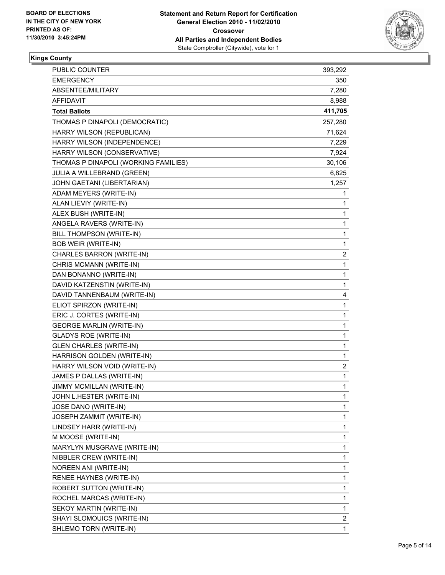

## **Kings County**

| <b>PUBLIC COUNTER</b>                | 393,292 |
|--------------------------------------|---------|
| <b>EMERGENCY</b>                     | 350     |
| ABSENTEE/MILITARY                    | 7,280   |
| <b>AFFIDAVIT</b>                     | 8,988   |
| <b>Total Ballots</b>                 | 411,705 |
| THOMAS P DINAPOLI (DEMOCRATIC)       | 257,280 |
| HARRY WILSON (REPUBLICAN)            | 71,624  |
| HARRY WILSON (INDEPENDENCE)          | 7,229   |
| HARRY WILSON (CONSERVATIVE)          | 7,924   |
| THOMAS P DINAPOLI (WORKING FAMILIES) | 30,106  |
| JULIA A WILLEBRAND (GREEN)           | 6,825   |
| JOHN GAETANI (LIBERTARIAN)           | 1,257   |
| ADAM MEYERS (WRITE-IN)               | 1       |
| ALAN LIEVIY (WRITE-IN)               | 1       |
| ALEX BUSH (WRITE-IN)                 | 1       |
| ANGELA RAVERS (WRITE-IN)             | 1       |
| BILL THOMPSON (WRITE-IN)             | 1       |
| <b>BOB WEIR (WRITE-IN)</b>           | 1       |
| CHARLES BARRON (WRITE-IN)            | 2       |
| CHRIS MCMANN (WRITE-IN)              | 1       |
| DAN BONANNO (WRITE-IN)               | 1       |
| DAVID KATZENSTIN (WRITE-IN)          | 1       |
| DAVID TANNENBAUM (WRITE-IN)          | 4       |
| ELIOT SPIRZON (WRITE-IN)             | 1       |
| ERIC J. CORTES (WRITE-IN)            | 1       |
| <b>GEORGE MARLIN (WRITE-IN)</b>      | 1       |
| <b>GLADYS ROE (WRITE-IN)</b>         | 1       |
| <b>GLEN CHARLES (WRITE-IN)</b>       | 1       |
| HARRISON GOLDEN (WRITE-IN)           | 1       |
| HARRY WILSON VOID (WRITE-IN)         | 2       |
| JAMES P DALLAS (WRITE-IN)            | 1       |
| JIMMY MCMILLAN (WRITE-IN)            | 1       |
| JOHN L.HESTER (WRITE-IN)             | 1       |
| JOSE DANO (WRITE-IN)                 | 1       |
| JOSEPH ZAMMIT (WRITE-IN)             | 1       |
| LINDSEY HARR (WRITE-IN)              | 1       |
| M MOOSE (WRITE-IN)                   | 1       |
| MARYLYN MUSGRAVE (WRITE-IN)          | 1       |
| NIBBLER CREW (WRITE-IN)              | 1       |
| NOREEN ANI (WRITE-IN)                | 1       |
| RENEE HAYNES (WRITE-IN)              | 1       |
| ROBERT SUTTON (WRITE-IN)             | 1       |
| ROCHEL MARCAS (WRITE-IN)             | 1       |
| SEKOY MARTIN (WRITE-IN)              | 1       |
| SHAYI SLOMOUICS (WRITE-IN)           | 2       |
| SHLEMO TORN (WRITE-IN)               | 1       |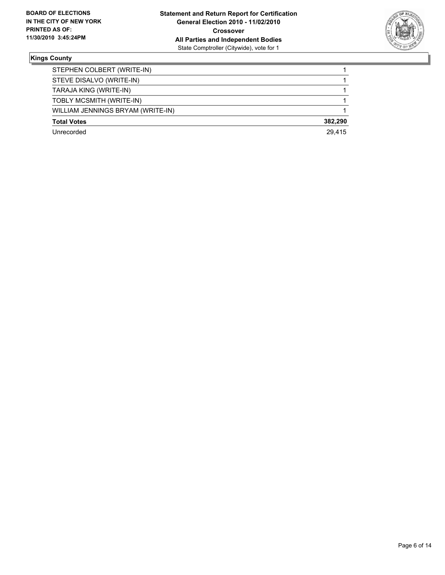

#### **Kings County**

| STEPHEN COLBERT (WRITE-IN)        |         |
|-----------------------------------|---------|
| STEVE DISALVO (WRITE-IN)          |         |
| TARAJA KING (WRITE-IN)            |         |
| TOBLY MCSMITH (WRITE-IN)          |         |
| WILLIAM JENNINGS BRYAM (WRITE-IN) |         |
| <b>Total Votes</b>                | 382.290 |
| Unrecorded                        | 29.415  |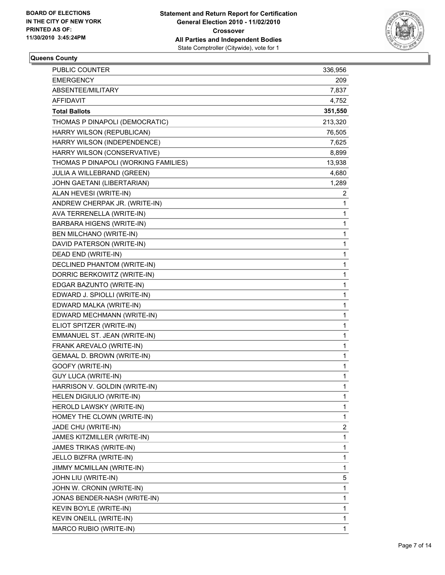

## **Queens County**

| PUBLIC COUNTER                       | 336,956 |
|--------------------------------------|---------|
| <b>EMERGENCY</b>                     | 209     |
| ABSENTEE/MILITARY                    | 7,837   |
| AFFIDAVIT                            | 4,752   |
| <b>Total Ballots</b>                 | 351,550 |
| THOMAS P DINAPOLI (DEMOCRATIC)       | 213,320 |
| HARRY WILSON (REPUBLICAN)            | 76,505  |
| HARRY WILSON (INDEPENDENCE)          | 7,625   |
| HARRY WILSON (CONSERVATIVE)          | 8,899   |
| THOMAS P DINAPOLI (WORKING FAMILIES) | 13,938  |
| JULIA A WILLEBRAND (GREEN)           | 4,680   |
| JOHN GAETANI (LIBERTARIAN)           | 1,289   |
| ALAN HEVESI (WRITE-IN)               | 2       |
| ANDREW CHERPAK JR. (WRITE-IN)        | 1       |
| AVA TERRENELLA (WRITE-IN)            | 1       |
| BARBARA HIGENS (WRITE-IN)            | 1       |
| BEN MILCHANO (WRITE-IN)              | 1       |
| DAVID PATERSON (WRITE-IN)            | 1       |
| DEAD END (WRITE-IN)                  | 1       |
| <b>DECLINED PHANTOM (WRITE-IN)</b>   | 1       |
| DORRIC BERKOWITZ (WRITE-IN)          | 1       |
| EDGAR BAZUNTO (WRITE-IN)             | 1       |
| EDWARD J. SPIOLLI (WRITE-IN)         | 1       |
| EDWARD MALKA (WRITE-IN)              | 1       |
| EDWARD MECHMANN (WRITE-IN)           | 1       |
| ELIOT SPITZER (WRITE-IN)             | 1       |
| EMMANUEL ST. JEAN (WRITE-IN)         | 1       |
| FRANK AREVALO (WRITE-IN)             | 1       |
| GEMAAL D. BROWN (WRITE-IN)           | 1       |
| GOOFY (WRITE-IN)                     | 1       |
| <b>GUY LUCA (WRITE-IN)</b>           | 1       |
| HARRISON V. GOLDIN (WRITE-IN)        | 1       |
| HELEN DIGIULIO (WRITE-IN)            | 1       |
| HEROLD LAWSKY (WRITE-IN)             | 1       |
| HOMEY THE CLOWN (WRITE-IN)           | 1       |
| JADE CHU (WRITE-IN)                  | 2       |
| JAMES KITZMILLER (WRITE-IN)          | 1       |
| JAMES TRIKAS (WRITE-IN)              | 1       |
| JELLO BIZFRA (WRITE-IN)              | 1       |
| JIMMY MCMILLAN (WRITE-IN)            | 1       |
| JOHN LIU (WRITE-IN)                  | 5       |
| JOHN W. CRONIN (WRITE-IN)            | 1       |
| JONAS BENDER-NASH (WRITE-IN)         | 1       |
| KEVIN BOYLE (WRITE-IN)               | 1       |
| KEVIN ONEILL (WRITE-IN)              | 1       |
| MARCO RUBIO (WRITE-IN)               | 1       |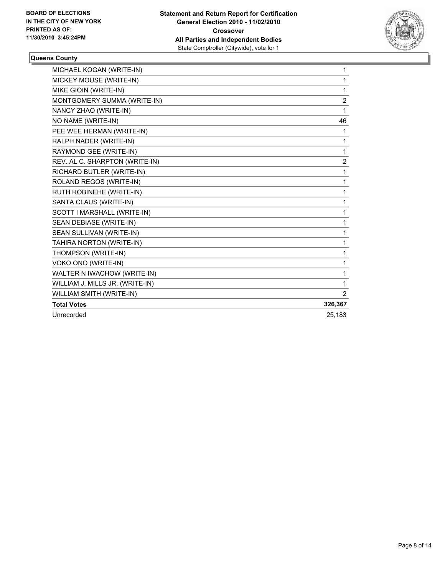

#### **Queens County**

| MICHAEL KOGAN (WRITE-IN)        | 1              |
|---------------------------------|----------------|
| MICKEY MOUSE (WRITE-IN)         | 1              |
| MIKE GIOIN (WRITE-IN)           | 1              |
| MONTGOMERY SUMMA (WRITE-IN)     | $\overline{2}$ |
| NANCY ZHAO (WRITE-IN)           | 1              |
| NO NAME (WRITE-IN)              | 46             |
| PEE WEE HERMAN (WRITE-IN)       | 1              |
| RALPH NADER (WRITE-IN)          | 1              |
| RAYMOND GEE (WRITE-IN)          | 1              |
| REV. AL C. SHARPTON (WRITE-IN)  | $\overline{c}$ |
| RICHARD BUTLER (WRITE-IN)       | 1              |
| ROLAND REGOS (WRITE-IN)         | 1              |
| RUTH ROBINEHE (WRITE-IN)        | 1              |
| SANTA CLAUS (WRITE-IN)          | 1              |
| SCOTT I MARSHALL (WRITE-IN)     | 1              |
| SEAN DEBIASE (WRITE-IN)         | 1              |
| SEAN SULLIVAN (WRITE-IN)        | 1              |
| TAHIRA NORTON (WRITE-IN)        | 1              |
| THOMPSON (WRITE-IN)             | 1              |
| VOKO ONO (WRITE-IN)             | 1              |
| WALTER N IWACHOW (WRITE-IN)     | 1              |
| WILLIAM J. MILLS JR. (WRITE-IN) | 1              |
| WILLIAM SMITH (WRITE-IN)        | $\overline{2}$ |
| <b>Total Votes</b>              | 326,367        |
| Unrecorded                      | 25.183         |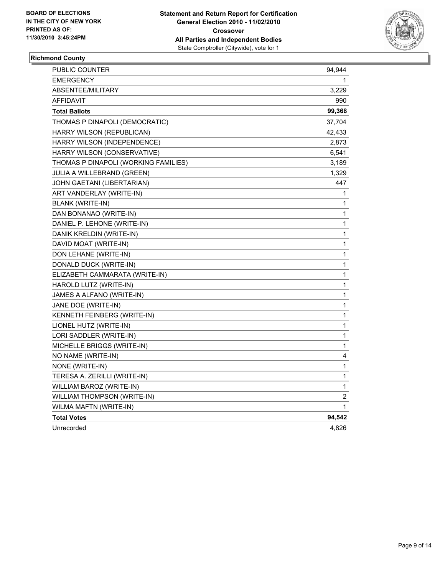

## **Richmond County**

| PUBLIC COUNTER                       | 94,944         |
|--------------------------------------|----------------|
| <b>EMERGENCY</b>                     |                |
| <b>ABSENTEE/MILITARY</b>             | 3,229          |
| AFFIDAVIT                            | 990            |
| <b>Total Ballots</b>                 | 99,368         |
| THOMAS P DINAPOLI (DEMOCRATIC)       | 37,704         |
| HARRY WILSON (REPUBLICAN)            | 42,433         |
| HARRY WILSON (INDEPENDENCE)          | 2,873          |
| HARRY WILSON (CONSERVATIVE)          | 6,541          |
| THOMAS P DINAPOLI (WORKING FAMILIES) | 3,189          |
| <b>JULIA A WILLEBRAND (GREEN)</b>    | 1,329          |
| JOHN GAETANI (LIBERTARIAN)           | 447            |
| ART VANDERLAY (WRITE-IN)             | 1              |
| <b>BLANK (WRITE-IN)</b>              | 1              |
| DAN BONANAO (WRITE-IN)               | 1              |
| DANIEL P. LEHONE (WRITE-IN)          | 1              |
| DANIK KRELDIN (WRITE-IN)             | 1              |
| DAVID MOAT (WRITE-IN)                | $\mathbf 1$    |
| DON LEHANE (WRITE-IN)                | 1              |
| DONALD DUCK (WRITE-IN)               | 1              |
| ELIZABETH CAMMARATA (WRITE-IN)       | 1              |
| HAROLD LUTZ (WRITE-IN)               | 1              |
| JAMES A ALFANO (WRITE-IN)            | 1              |
| JANE DOE (WRITE-IN)                  | 1              |
| KENNETH FEINBERG (WRITE-IN)          | 1              |
| LIONEL HUTZ (WRITE-IN)               | 1              |
| LORI SADDLER (WRITE-IN)              | 1              |
| MICHELLE BRIGGS (WRITE-IN)           | 1              |
| NO NAME (WRITE-IN)                   | 4              |
| NONE (WRITE-IN)                      | 1              |
| TERESA A. ZERILLI (WRITE-IN)         | 1              |
| WILLIAM BAROZ (WRITE-IN)             | 1              |
| WILLIAM THOMPSON (WRITE-IN)          | $\overline{2}$ |
| WILMA MAFTN (WRITE-IN)               | $\mathbf{1}$   |
| <b>Total Votes</b>                   | 94,542         |
| Unrecorded                           | 4,826          |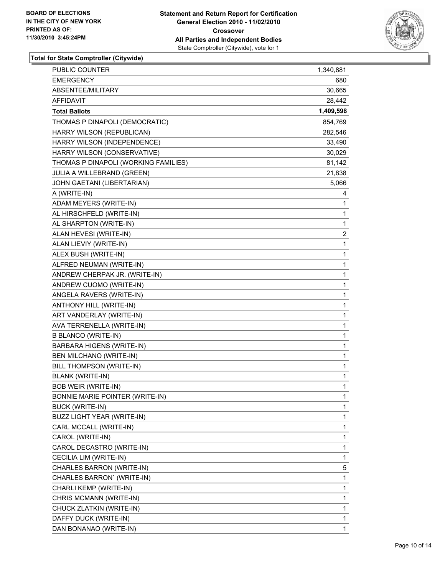

| PUBLIC COUNTER                       | 1,340,881    |
|--------------------------------------|--------------|
| <b>EMERGENCY</b>                     | 680          |
| ABSENTEE/MILITARY                    | 30,665       |
| AFFIDAVIT                            | 28,442       |
| <b>Total Ballots</b>                 | 1,409,598    |
| THOMAS P DINAPOLI (DEMOCRATIC)       | 854,769      |
| HARRY WILSON (REPUBLICAN)            | 282,546      |
| HARRY WILSON (INDEPENDENCE)          | 33,490       |
| HARRY WILSON (CONSERVATIVE)          | 30,029       |
| THOMAS P DINAPOLI (WORKING FAMILIES) | 81,142       |
| JULIA A WILLEBRAND (GREEN)           | 21,838       |
| JOHN GAETANI (LIBERTARIAN)           | 5,066        |
| A (WRITE-IN)                         | 4            |
| ADAM MEYERS (WRITE-IN)               | 1            |
| AL HIRSCHFELD (WRITE-IN)             | 1            |
| AL SHARPTON (WRITE-IN)               | 1            |
| ALAN HEVESI (WRITE-IN)               | 2            |
| ALAN LIEVIY (WRITE-IN)               | 1            |
| ALEX BUSH (WRITE-IN)                 | 1            |
| ALFRED NEUMAN (WRITE-IN)             | 1            |
| ANDREW CHERPAK JR. (WRITE-IN)        | 1            |
| ANDREW CUOMO (WRITE-IN)              | 1            |
| ANGELA RAVERS (WRITE-IN)             | 1            |
| ANTHONY HILL (WRITE-IN)              | 1            |
| ART VANDERLAY (WRITE-IN)             | 1            |
| AVA TERRENELLA (WRITE-IN)            | 1            |
| <b>B BLANCO (WRITE-IN)</b>           | 1            |
| BARBARA HIGENS (WRITE-IN)            | 1            |
| BEN MILCHANO (WRITE-IN)              | 1            |
| BILL THOMPSON (WRITE-IN)             | 1            |
| <b>BLANK (WRITE-IN)</b>              | 1            |
| <b>BOB WEIR (WRITE-IN)</b>           | 1            |
| BONNIE MARIE POINTER (WRITE-IN)      | 1            |
| <b>BUCK (WRITE-IN)</b>               | 1            |
| BUZZ LIGHT YEAR (WRITE-IN)           | 1            |
| CARL MCCALL (WRITE-IN)               | 1            |
| CAROL (WRITE-IN)                     | 1            |
| CAROL DECASTRO (WRITE-IN)            | 1            |
| CECILIA LIM (WRITE-IN)               | 1            |
| CHARLES BARRON (WRITE-IN)            | 5            |
| CHARLES BARRON' (WRITE-IN)           | 1            |
| CHARLI KEMP (WRITE-IN)               | 1            |
| CHRIS MCMANN (WRITE-IN)              | 1            |
| CHUCK ZLATKIN (WRITE-IN)             | 1            |
| DAFFY DUCK (WRITE-IN)                | 1            |
| DAN BONANAO (WRITE-IN)               | $\mathbf{1}$ |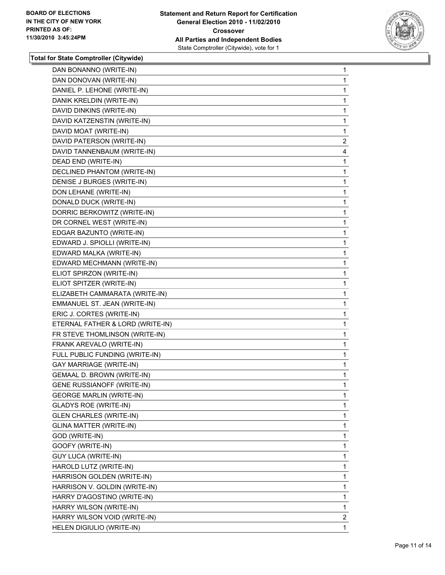

| DAN BONANNO (WRITE-IN)           | 1              |
|----------------------------------|----------------|
| DAN DONOVAN (WRITE-IN)           | 1              |
| DANIEL P. LEHONE (WRITE-IN)      | 1              |
| DANIK KRELDIN (WRITE-IN)         | 1              |
| DAVID DINKINS (WRITE-IN)         | 1              |
| DAVID KATZENSTIN (WRITE-IN)      | 1              |
| DAVID MOAT (WRITE-IN)            | 1              |
| DAVID PATERSON (WRITE-IN)        | $\overline{2}$ |
| DAVID TANNENBAUM (WRITE-IN)      | 4              |
| DEAD END (WRITE-IN)              | 1              |
| DECLINED PHANTOM (WRITE-IN)      | 1              |
| DENISE J BURGES (WRITE-IN)       | 1              |
| DON LEHANE (WRITE-IN)            | 1              |
| DONALD DUCK (WRITE-IN)           | 1              |
| DORRIC BERKOWITZ (WRITE-IN)      | 1              |
| DR CORNEL WEST (WRITE-IN)        | 1              |
| EDGAR BAZUNTO (WRITE-IN)         | 1              |
| EDWARD J. SPIOLLI (WRITE-IN)     | 1              |
| EDWARD MALKA (WRITE-IN)          | 1              |
| EDWARD MECHMANN (WRITE-IN)       | 1              |
| ELIOT SPIRZON (WRITE-IN)         | 1              |
| ELIOT SPITZER (WRITE-IN)         | 1              |
| ELIZABETH CAMMARATA (WRITE-IN)   | 1              |
| EMMANUEL ST. JEAN (WRITE-IN)     | 1              |
| ERIC J. CORTES (WRITE-IN)        | 1              |
| ETERNAL FATHER & LORD (WRITE-IN) | 1              |
| FR STEVE THOMLINSON (WRITE-IN)   | 1              |
| FRANK AREVALO (WRITE-IN)         | 1              |
| FULL PUBLIC FUNDING (WRITE-IN)   | 1              |
| <b>GAY MARRIAGE (WRITE-IN)</b>   | 1              |
| GEMAAL D. BROWN (WRITE-IN)       | 1              |
| GENE RUSSIANOFF (WRITE-IN)       | 1              |
| <b>GEORGE MARLIN (WRITE-IN)</b>  | 1              |
| <b>GLADYS ROE (WRITE-IN)</b>     | 1              |
| <b>GLEN CHARLES (WRITE-IN)</b>   | 1              |
| <b>GLINA MATTER (WRITE-IN)</b>   | 1              |
| GOD (WRITE-IN)                   | 1              |
| GOOFY (WRITE-IN)                 | 1              |
| <b>GUY LUCA (WRITE-IN)</b>       | 1              |
| HAROLD LUTZ (WRITE-IN)           | 1              |
| HARRISON GOLDEN (WRITE-IN)       | 1              |
| HARRISON V. GOLDIN (WRITE-IN)    | 1              |
| HARRY D'AGOSTINO (WRITE-IN)      | 1              |
| HARRY WILSON (WRITE-IN)          | 1              |
| HARRY WILSON VOID (WRITE-IN)     | 2              |
| HELEN DIGIULIO (WRITE-IN)        | 1              |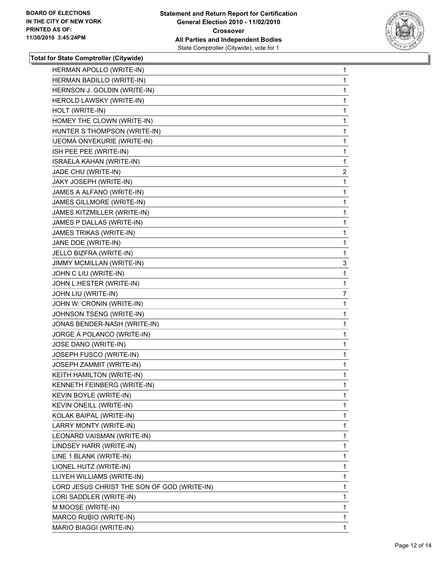

| HERMAN APOLLO (WRITE-IN)                    | 1              |
|---------------------------------------------|----------------|
| HERMAN BADILLO (WRITE-IN)                   | 1.             |
| HERNSON J. GOLDIN (WRITE-IN)                | 1              |
| HEROLD LAWSKY (WRITE-IN)                    | 1              |
| HOLT (WRITE-IN)                             | 1              |
| HOMEY THE CLOWN (WRITE-IN)                  | 1              |
| HUNTER S THOMPSON (WRITE-IN)                | 1              |
| IJEOMA ONYEKURIE (WRITE-IN)                 | 1              |
| ISH PEE PEE (WRITE-IN)                      | 1              |
| ISRAELA KAHAN (WRITE-IN)                    | 1              |
| JADE CHU (WRITE-IN)                         | $\overline{2}$ |
| JAKY JOSEPH (WRITE-IN)                      | 1              |
| JAMES A ALFANO (WRITE-IN)                   | 1              |
| JAMES GILLMORE (WRITE-IN)                   | 1              |
| JAMES KITZMILLER (WRITE-IN)                 | 1              |
| JAMES P DALLAS (WRITE-IN)                   | 1              |
| JAMES TRIKAS (WRITE-IN)                     | 1              |
| JANE DOE (WRITE-IN)                         | 1              |
| JELLO BIZFRA (WRITE-IN)                     | 1              |
| JIMMY MCMILLAN (WRITE-IN)                   | 3              |
| JOHN C LIU (WRITE-IN)                       | 1              |
| JOHN L.HESTER (WRITE-IN)                    | 1              |
| JOHN LIU (WRITE-IN)                         | 7              |
| JOHN W. CRONIN (WRITE-IN)                   | 1              |
| JOHNSON TSENG (WRITE-IN)                    | 1              |
| JONAS BENDER-NASH (WRITE-IN)                | 1              |
| JORGE A POLANCO (WRITE-IN)                  | 1              |
| JOSE DANO (WRITE-IN)                        | 1              |
| JOSEPH FUSCO (WRITE-IN)                     | 1              |
| JOSEPH ZAMMIT (WRITE-IN)                    | 1              |
| KEITH HAMILTON (WRITE-IN)                   | 1              |
| KENNETH FEINBERG (WRITE-IN)                 | 1              |
| KEVIN BOYLE (WRITE-IN)                      | 1              |
| KEVIN ONEILL (WRITE-IN)                     | 1              |
| KOLAK BAIPAL (WRITE-IN)                     | 1              |
| LARRY MONTY (WRITE-IN)                      | 1              |
| LEONARD VAISMAN (WRITE-IN)                  | 1              |
| LINDSEY HARR (WRITE-IN)                     | 1              |
| LINE 1 BLANK (WRITE-IN)                     | 1              |
| LIONEL HUTZ (WRITE-IN)                      | 1              |
| LLIYEH WILLIAMS (WRITE-IN)                  | 1              |
| LORD JESUS CHRIST THE SON OF GOD (WRITE-IN) | 1              |
| LORI SADDLER (WRITE-IN)                     | 1              |
| M MOOSE (WRITE-IN)                          | 1              |
| MARCO RUBIO (WRITE-IN)                      | 1              |
| MARIO BIAGGI (WRITE-IN)                     | 1              |
|                                             |                |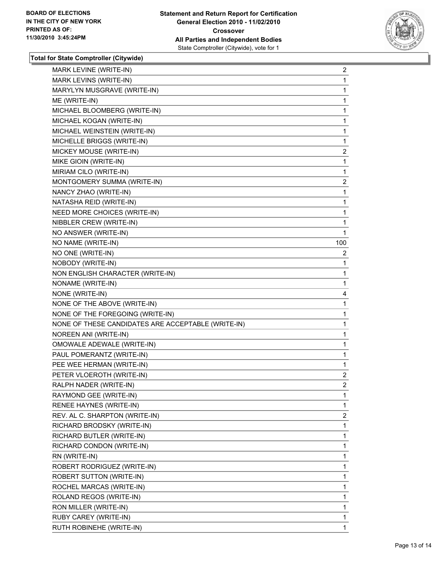

| MARK LEVINE (WRITE-IN)                             | $\overline{2}$ |
|----------------------------------------------------|----------------|
| MARK LEVINS (WRITE-IN)                             | 1              |
| MARYLYN MUSGRAVE (WRITE-IN)                        | 1              |
| ME (WRITE-IN)                                      | 1              |
| MICHAEL BLOOMBERG (WRITE-IN)                       | 1              |
| MICHAEL KOGAN (WRITE-IN)                           | 1              |
| MICHAEL WEINSTEIN (WRITE-IN)                       | 1              |
| MICHELLE BRIGGS (WRITE-IN)                         | 1              |
| MICKEY MOUSE (WRITE-IN)                            | $\overline{2}$ |
| MIKE GIOIN (WRITE-IN)                              | 1              |
| MIRIAM CILO (WRITE-IN)                             | 1              |
| MONTGOMERY SUMMA (WRITE-IN)                        | $\overline{2}$ |
| NANCY ZHAO (WRITE-IN)                              | 1              |
| NATASHA REID (WRITE-IN)                            | 1              |
| NEED MORE CHOICES (WRITE-IN)                       | 1              |
| NIBBLER CREW (WRITE-IN)                            | 1              |
| NO ANSWER (WRITE-IN)                               | 1              |
| NO NAME (WRITE-IN)                                 | 100            |
| NO ONE (WRITE-IN)                                  | 2              |
| NOBODY (WRITE-IN)                                  | 1              |
| NON ENGLISH CHARACTER (WRITE-IN)                   | 1              |
| NONAME (WRITE-IN)                                  | 1              |
| NONE (WRITE-IN)                                    | 4              |
| NONE OF THE ABOVE (WRITE-IN)                       | 1              |
| NONE OF THE FOREGOING (WRITE-IN)                   | 1              |
| NONE OF THESE CANDIDATES ARE ACCEPTABLE (WRITE-IN) | 1              |
| NOREEN ANI (WRITE-IN)                              | 1              |
| OMOWALE ADEWALE (WRITE-IN)                         | 1              |
| PAUL POMERANTZ (WRITE-IN)                          | 1              |
| PEE WEE HERMAN (WRITE-IN)                          | 1              |
| PETER VLOEROTH (WRITE-IN)                          | $\overline{2}$ |
| RALPH NADER (WRITE-IN)                             | $\overline{2}$ |
| RAYMOND GEE (WRITE-IN)                             | 1              |
| RENEE HAYNES (WRITE-IN)                            | 1              |
| REV. AL C. SHARPTON (WRITE-IN)                     | 2              |
| RICHARD BRODSKY (WRITE-IN)                         | 1              |
| RICHARD BUTLER (WRITE-IN)                          | 1              |
| RICHARD CONDON (WRITE-IN)                          | 1              |
| RN (WRITE-IN)                                      | 1              |
| ROBERT RODRIGUEZ (WRITE-IN)                        | 1              |
| <b>ROBERT SUTTON (WRITE-IN)</b>                    | 1              |
| ROCHEL MARCAS (WRITE-IN)                           | 1              |
| ROLAND REGOS (WRITE-IN)                            | 1              |
| RON MILLER (WRITE-IN)                              | 1              |
| RUBY CAREY (WRITE-IN)                              | 1              |
| RUTH ROBINEHE (WRITE-IN)                           | 1.             |
|                                                    |                |